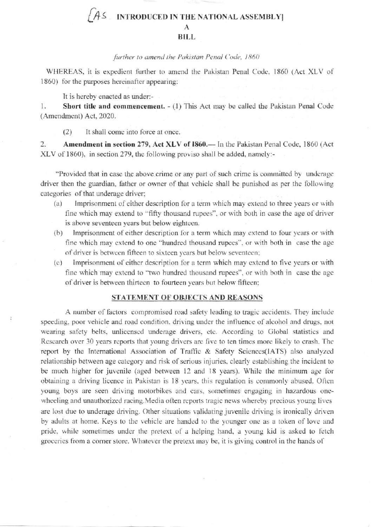## **INTRODUCED IN THE NATIONAL ASSEMBLY** A **BILL**

## further to amend the Pakistan Penal Code, 1860

WHEREAS, it is expedient further to amend the Pakistan Penal Code, 1860 (Act XLV of 1860) for the purposes hereinafter appearing:

It is hereby enacted as under:-

1. Short title and commencement. - (1) This Act may be called the Pakistan Penal Code (Amendment) Act, 2020.

 $(2)$ It shall come into force at once.

2. Amendment in section 279, Act XLV of 1860.— In the Pakistan Penal Code, 1860 (Act XLV of 1860), in section 279, the following proviso shall be added, namely:-

"Provided that in case the above crime or any part of such crime is committed by underage driver then the guardian, father or owner of that vehicle shall be punished as per the following categories of that underage driver;

- Imprisonment of either description for a term which may extend to three years or with  $(a)$ fine which may extend to "fifty thousand rupees", or with both in case the age of driver is above seventeen years but below eighteen.
- Imprisonment of either description for a term which may extend to four years or with  $(b)$ fine which may extend to one "hundred thousand rupees", or with both in case the age of driver is between fifteen to sixteen years but below seventeen;
- Imprisonment of either description for a term which may extend to five years or with  $(c)$ fine which may extend to "two hundred thousand rupees", or with both in case the age of driver is between thirteen to fourteen years but below fifteen;

## STATEMENT OF OBJECTS AND REASONS

A number of factors compromised road safety leading to tragic accidents. They include speeding, poor vehicle and road condition, driving under the influence of alcohol and drugs, not wearing safety belts, unlicensed underage drivers, etc. According to Global statistics and Research over 30 years reports that young drivers are five to ten times more likely to crash. The report by the International Association of Traffic & Safety Sciences(IATS) also analyzed relationship between age category and risk of serious injuries, clearly establishing the incident to be much higher for juvenile (aged between 12 and 18 years). While the minimum age for obtaining a driving licence in Pakistan is 18 years, this regulation is commonly abused. Often young boys are seen driving motorbikes and cars, sometimes engaging in hazardous onewheeling and unauthorized racing. Media often reports tragic news whereby precious young lives are lost due to underage driving. Other situations validating juvenile driving is ironically driven by adults at home. Keys to the vehicle are handed to the younger one as a token of love and pride, while sometimes under the pretext of a helping hand, a young kid is asked to fetch groceries from a corner store. Whatever the pretext may be, it is giving control in the hands of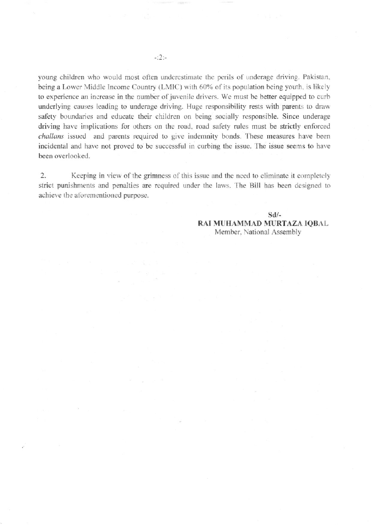young children who would most often underestimate the perils of underage driving. Pakistan, being a Lower Middle Income Country (LMIC) with 60% of its population being youth, is likely to experience an increase in the number of juvenile drivers. We must be better equipped to curb underlying causes leading to underage driving. Huge responsibility rests with parents to draw safety boundaries and educate their children on being socially responsible. Since underage driving have implications for others on the road, road safety rules must be strictly enforced challans issued and parents required to give indemnity bonds. These measures have been incidental and have not proved to be successful in curbing the issue. The issue seems to have been overlooked.

 $\overline{2}$ . Keeping in view of the grimness of this issue and the need to eliminate it completely strict punishments and penalties are required under the laws. The Bill has been designed to achieve the aforementioned purpose.

> $Sd$ /-RAI MUHAMMAD MURTAZA IQBAL Member, National Assembly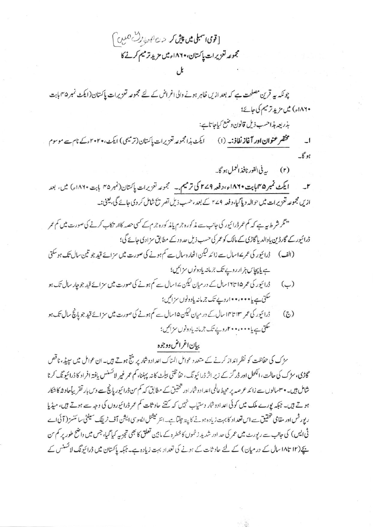[قومی اسبلی میں پیش کر ح<sup>م دی</sup> ہورگ<sup>6</sup> تعلیں *]* مجموعه لتزيرات ياكتان، ١٨٢٠ء ميں مزيد ترميم كرنے كا

چونکہ یہ قرین مصلحت ہے کہ بعد ازیں ظاہر ہونے والی اغراض کے لئے مجموعہ تعزیرات پاکستان(ایکٹ نمبر ۴۵ پابت ۱۸۶۰ء) میں مزید ترمیم کی جائے؛ بذريعه مذاحسب ذيل قانون وضع كباحا تاہے:

مختصر عنوان اور آغاز نفاذ:۔ (۱) سی ایکٹ ہذا مجموعہ تعزیرات پاکستان (ترمیمی) ایکٹ،۲۰۲۰ءکے نام سے موسوم  $\cup$  $\mathcal{L}_{\kappa}$ 

> بيە فى الفور نافذ العمل ہو گا۔  $(r)$

ایکٹ نمبر ۱۸۴۵ پاہت ۱۸۶۰ء، وفعہ ۲۷۹ کی ترمیم.۔ مجموعہ تعزیرات پاکستان(نمبر ۴۵ بابت ۱۸۶۰ء) میں، بعد  $\mathbf{r}$ ازیں مجموعہ تعزیرات میں حوالہ دیا گیا، دفعہ 4مے + کے بعد ،حسب ذیل تصریح شامل کر دی جائے گی، یعنی:۔

- "نگر شرط ہیے کہ کم عمر ڈرائیور کی جانب سے مذکورہ جرم یامذکورہ جرم کے کسی حصہ کاار تکاب کرنے کی صورت میں کم عمر ڈرائیور کے گارڈین یادالدیا گاڑی کے مالک کو عمر کی حسب ذیل حد ودے مطابق سزادی جائے گی؛
- ہے پاپچاس ہز ارروپے تک جرمانہ یادونوں سزائیں؛
- ڈرائیور کی عمر ۱۵ تا۱۶سال کے در میان کیکن ۱۷سال سے کم ہونے کی صورت میں سزائے قید جو چار سال تک ہو  $(\cup)$ سکتی ہے یا•••••••••• روپے تک جرماننہ یادونوں سزائیں؛
- ڈرائیور کی عمر ۱۳ تا۱۴سال کے در میان کیکن ۱۵سال ہے کم ہونے کی صورت میں سزائے قید جو پانچ سال تک ہو  $(2)$ سکتی ہے یا • • • • • • • اروپے تک جرمانہ یادونوں سزائیں؛

## ببان اغراض ووجوه

سڑک کی حفاظت کو نظر انداز کرنے کے متعدد عوامل المناک اعداد وشاریر منتج ہوتے ہیں۔ان عوامل میں سپیڈ، ناقص گاڑی، سڑک کی حالت، الکحل اور ڈر گز کے زیر اثر ڈرائیونگ، حفاظتی بیلٹ کانہ پہنینا، کم عمر غیر لائسنس یافتہ افراد کا ڈرائیونگ کرنا شامل ہیں۔ • سمبالوں سے زائد عرصہ پر محیط عالمی اعداد دشار اور شخقیق کے مطابق کہ کم من ڈرائیور پانچ سے دس بار تقریباًحاد شہ کا شکار ہوتے ہیں۔ جبکہ پورے ملک میں کوئی اعدادوشار دستیاب نہیں کہ گتنے حاد ثات کم عمر ڈرائیوروں کی وجہ سے ہوتے ہیں، میڈیا رپورٹس اور مقامی تحقیق سے اس تعداد کا بہت زیادہ ہونے کا پید چلتاہے۔انٹر نیشنل ایسوسی ایشن آف ٹریفک سیفٹی سائنسز ( آئی اے ٹی ایس) کی جانب سے رپورٹ میں عمر کی حد اور شدید زخموں کا خطرہ کے مابین تعلق کا بھی تجزیہ کیا گیا، جس میں واضح طور پر کم س یچے(۱۲ تا۱۸ سال کے در میان) کے لئے حاد ثات کے ہونے کی تعداد بہت زیادہ ہے۔ جبکہ پاکستان میں ڈرائیونگ لائسنس کے